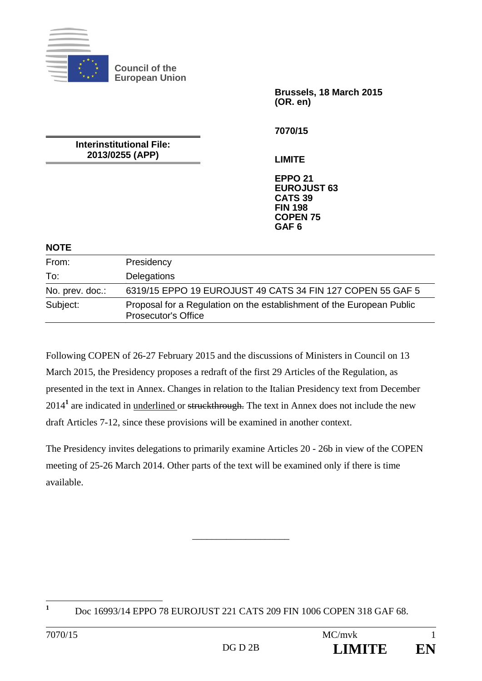

**Brussels, 18 March 2015 (OR. en)** 

**Interinstitutional File: 2013/0255 (APP)** 

**7070/15** 

**LIMITE** 

**EPPO 21 EUROJUST 63 CATS 39 FIN 198 COPEN 75 GAF 6** 

#### **NOTE**

| From:           | Presidency                                                                                          |
|-----------------|-----------------------------------------------------------------------------------------------------|
| To:             | Delegations                                                                                         |
| No. prev. doc.: | 6319/15 EPPO 19 EUROJUST 49 CATS 34 FIN 127 COPEN 55 GAF 5                                          |
| Subject:        | Proposal for a Regulation on the establishment of the European Public<br><b>Prosecutor's Office</b> |

Following COPEN of 26-27 February 2015 and the discussions of Ministers in Council on 13 March 2015, the Presidency proposes a redraft of the first 29 Articles of the Regulation, as presented in the text in Annex. Changes in relation to the Italian Presidency text from December 2014<sup>1</sup> are indicated in <u>underlined or struckthrough</u>. The text in Annex does not include the new draft Articles 7-12, since these provisions will be examined in another context.

The Presidency invites delegations to primarily examine Articles 20 - 26b in view of the COPEN meeting of 25-26 March 2014. Other parts of the text will be examined only if there is time available.

\_\_\_\_\_\_\_\_\_\_\_\_\_\_\_\_\_\_\_\_

**1**

Doc 16993/14 EPPO 78 EUROJUST 221 CATS 209 FIN 1006 COPEN 318 GAF 68.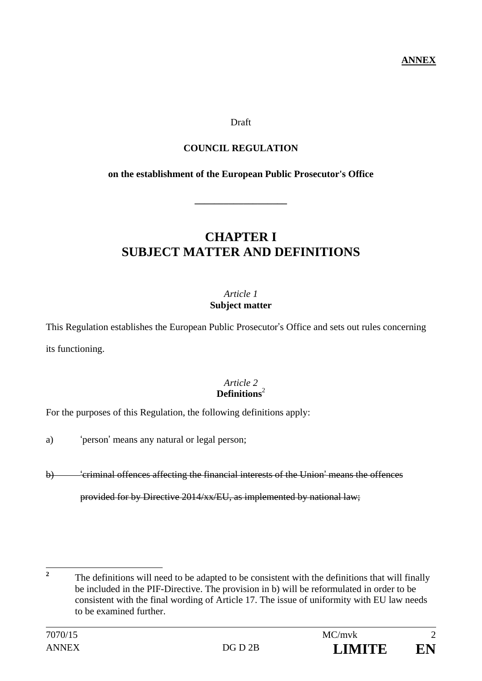**ANNEX** 

## Draft

# **COUNCIL REGULATION**

## **on the establishment of the European Public Prosecutor's Office**

**\_\_\_\_\_\_\_\_\_\_\_\_\_\_\_\_\_\_\_** 

# **CHAPTER I SUBJECT MATTER AND DEFINITIONS**

## *Article 1*  **Subject matter**

This Regulation establishes the European Public Prosecutor's Office and sets out rules concerning its functioning.

## *Article 2*  **Definitions**<sup>2</sup>

For the purposes of this Regulation, the following definitions apply:

- a) 'person' means any natural or legal person;
- b) 'criminal offences affecting the financial interests of the Union' means the offences

provided for by Directive 2014/xx/EU, as implemented by national law;

 $\overline{2}$ **<sup>2</sup>** The definitions will need to be adapted to be consistent with the definitions that will finally be included in the PIF-Directive. The provision in b) will be reformulated in order to be consistent with the final wording of Article 17. The issue of uniformity with EU law needs to be examined further.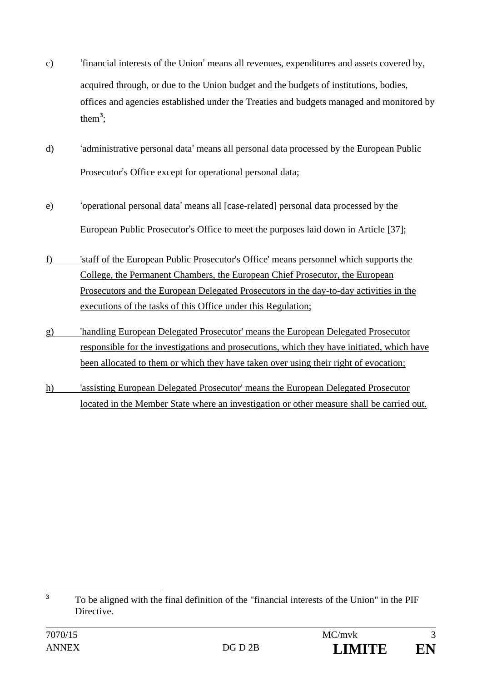- c) 'financial interests of the Union' means all revenues, expenditures and assets covered by, acquired through, or due to the Union budget and the budgets of institutions, bodies, offices and agencies established under the Treaties and budgets managed and monitored by them**<sup>3</sup>** ;
- d) 'administrative personal data' means all personal data processed by the European Public Prosecutor's Office except for operational personal data;
- e) 'operational personal data' means all [case-related] personal data processed by the European Public Prosecutor's Office to meet the purposes laid down in Article [37];
- f) 'staff of the European Public Prosecutor's Office' means personnel which supports the College, the Permanent Chambers, the European Chief Prosecutor, the European Prosecutors and the European Delegated Prosecutors in the day-to-day activities in the executions of the tasks of this Office under this Regulation;
- g) 'handling European Delegated Prosecutor' means the European Delegated Prosecutor responsible for the investigations and prosecutions, which they have initiated, which have been allocated to them or which they have taken over using their right of evocation;
- h) 'assisting European Delegated Prosecutor' means the European Delegated Prosecutor located in the Member State where an investigation or other measure shall be carried out.

 **3** To be aligned with the final definition of the "financial interests of the Union" in the PIF **Directive**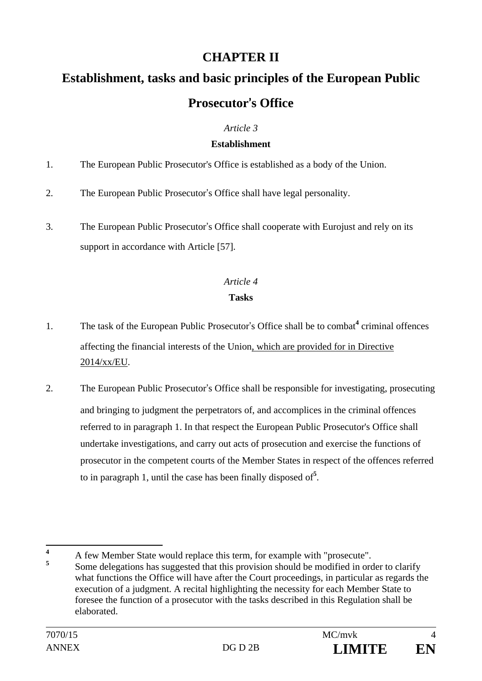# **CHAPTER II**

# **Establishment, tasks and basic principles of the European Public Prosecutor**'**s Office**

# *Article 3*

## **Establishment**

- 1. The European Public Prosecutor's Office is established as a body of the Union.
- 2. The European Public Prosecutor's Office shall have legal personality.
- 3. The European Public Prosecutor's Office shall cooperate with Eurojust and rely on its support in accordance with Article [57].

# *Article 4*

# **Tasks**

- 1. The task of the European Public Prosecutor's Office shall be to combat<sup>4</sup> criminal offences affecting the financial interests of the Union, which are provided for in Directive 2014/xx/EU.
- 2. The European Public Prosecutor's Office shall be responsible for investigating, prosecuting and bringing to judgment the perpetrators of, and accomplices in the criminal offences referred to in paragraph 1. In that respect the European Public Prosecutor's Office shall undertake investigations, and carry out acts of prosecution and exercise the functions of prosecutor in the competent courts of the Member States in respect of the offences referred to in paragraph 1, until the case has been finally disposed of**<sup>5</sup>** .

 **4** <sup>4</sup> A few Member State would replace this term, for example with "prosecute". **<sup>5</sup>** Some delegations has suggested that this provision should be modified in order to clarify what functions the Office will have after the Court proceedings, in particular as regards the execution of a judgment. A recital highlighting the necessity for each Member State to foresee the function of a prosecutor with the tasks described in this Regulation shall be elaborated.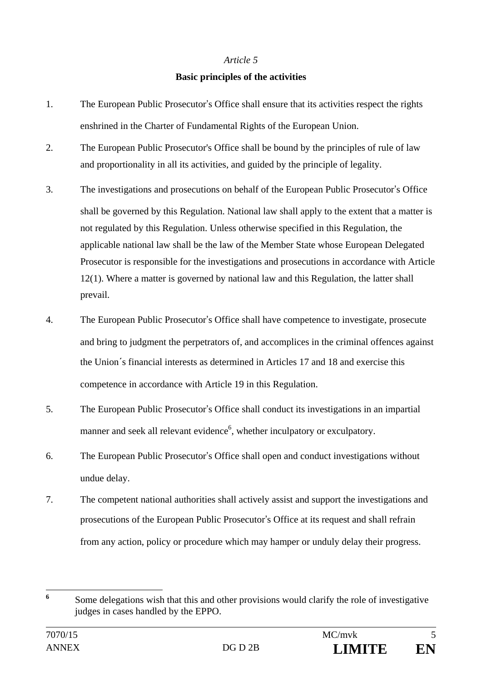#### **Basic principles of the activities**

- 1. The European Public Prosecutor's Office shall ensure that its activities respect the rights enshrined in the Charter of Fundamental Rights of the European Union.
- 2. The European Public Prosecutor's Office shall be bound by the principles of rule of law and proportionality in all its activities, and guided by the principle of legality.
- 3. The investigations and prosecutions on behalf of the European Public Prosecutor's Office shall be governed by this Regulation. National law shall apply to the extent that a matter is not regulated by this Regulation. Unless otherwise specified in this Regulation, the applicable national law shall be the law of the Member State whose European Delegated Prosecutor is responsible for the investigations and prosecutions in accordance with Article 12(1). Where a matter is governed by national law and this Regulation, the latter shall prevail.
- 4. The European Public Prosecutor's Office shall have competence to investigate, prosecute and bring to judgment the perpetrators of, and accomplices in the criminal offences against the Union´s financial interests as determined in Articles 17 and 18 and exercise this competence in accordance with Article 19 in this Regulation.
- 5. The European Public Prosecutor's Office shall conduct its investigations in an impartial manner and seek all relevant evidence<sup>6</sup>, whether inculpatory or exculpatory.
- 6. The European Public Prosecutor's Office shall open and conduct investigations without undue delay.
- 7. The competent national authorities shall actively assist and support the investigations and prosecutions of the European Public Prosecutor's Office at its request and shall refrain from any action, policy or procedure which may hamper or unduly delay their progress.

 **6** Some delegations wish that this and other provisions would clarify the role of investigative judges in cases handled by the EPPO.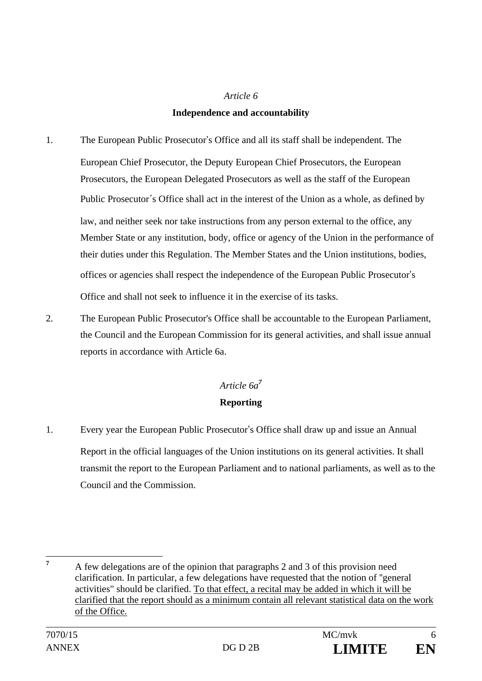### **Independence and accountability**

- 1. The European Public Prosecutor's Office and all its staff shall be independent. The European Chief Prosecutor, the Deputy European Chief Prosecutors, the European Prosecutors, the European Delegated Prosecutors as well as the staff of the European Public Prosecutor´s Office shall act in the interest of the Union as a whole, as defined by law, and neither seek nor take instructions from any person external to the office, any Member State or any institution, body, office or agency of the Union in the performance of their duties under this Regulation. The Member States and the Union institutions, bodies, offices or agencies shall respect the independence of the European Public Prosecutor's Office and shall not seek to influence it in the exercise of its tasks.
- 2. The European Public Prosecutor's Office shall be accountable to the European Parliament, the Council and the European Commission for its general activities, and shall issue annual reports in accordance with Article 6a.

# *Article 6a<sup>7</sup>* **Reporting**

1. Every year the European Public Prosecutor's Office shall draw up and issue an Annual Report in the official languages of the Union institutions on its general activities. It shall transmit the report to the European Parliament and to national parliaments, as well as to the Council and the Commission.

 **7**

A few delegations are of the opinion that paragraphs 2 and 3 of this provision need clarification. In particular, a few delegations have requested that the notion of ''general activities" should be clarified. To that effect, a recital may be added in which it will be clarified that the report should as a minimum contain all relevant statistical data on the work of the Office.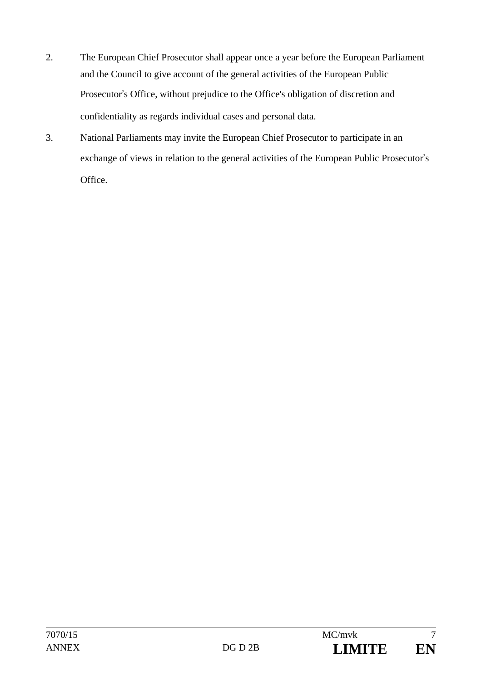- 2. The European Chief Prosecutor shall appear once a year before the European Parliament and the Council to give account of the general activities of the European Public Prosecutor's Office, without prejudice to the Office's obligation of discretion and confidentiality as regards individual cases and personal data.
- 3. National Parliaments may invite the European Chief Prosecutor to participate in an exchange of views in relation to the general activities of the European Public Prosecutor's Office.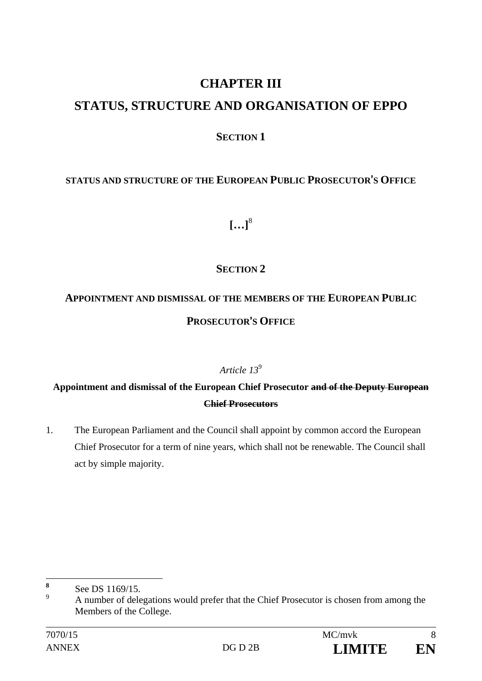# **CHAPTER III**

# **STATUS, STRUCTURE AND ORGANISATION OF EPPO**

# **SECTION 1**

# **STATUS AND STRUCTURE OF THE EUROPEAN PUBLIC PROSECUTOR**'**S OFFICE**

**[…]**<sup>8</sup>

# **SECTION 2**

# **APPOINTMENT AND DISMISSAL OF THE MEMBERS OF THE EUROPEAN PUBLIC PROSECUTOR**'**S OFFICE**

# *Article 13*<sup>9</sup>

# **Appointment and dismissal of the European Chief Prosecutor and of the Deputy European Chief Prosecutors**

1. The European Parliament and the Council shall appoint by common accord the European Chief Prosecutor for a term of nine years, which shall not be renewable. The Council shall act by simple majority.

 **8** See DS 1169/15.

 $\alpha$  A number of delegations would prefer that the Chief Prosecutor is chosen from among the Members of the College.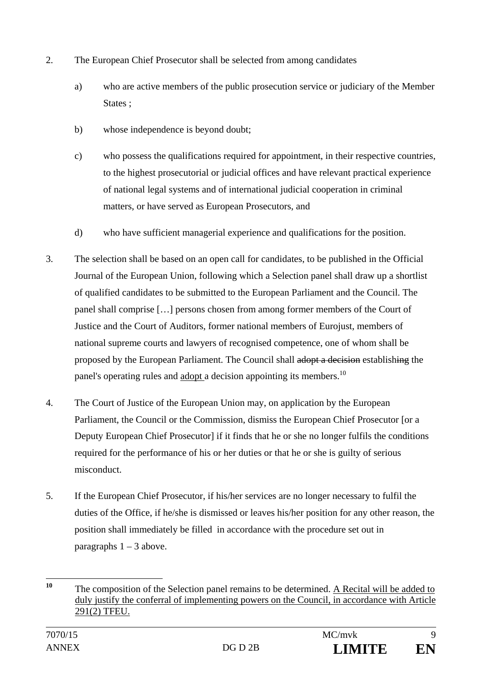- 2. The European Chief Prosecutor shall be selected from among candidates
	- a) who are active members of the public prosecution service or judiciary of the Member States :
	- b) whose independence is beyond doubt;
	- c) who possess the qualifications required for appointment, in their respective countries, to the highest prosecutorial or judicial offices and have relevant practical experience of national legal systems and of international judicial cooperation in criminal matters, or have served as European Prosecutors, and
	- d) who have sufficient managerial experience and qualifications for the position.
- 3. The selection shall be based on an open call for candidates, to be published in the Official Journal of the European Union, following which a Selection panel shall draw up a shortlist of qualified candidates to be submitted to the European Parliament and the Council. The panel shall comprise […] persons chosen from among former members of the Court of Justice and the Court of Auditors, former national members of Eurojust, members of national supreme courts and lawyers of recognised competence, one of whom shall be proposed by the European Parliament. The Council shall adopt a decision establishing the panel's operating rules and adopt a decision appointing its members.<sup>10</sup>
- 4. The Court of Justice of the European Union may, on application by the European Parliament, the Council or the Commission, dismiss the European Chief Prosecutor [or a Deputy European Chief Prosecutor] if it finds that he or she no longer fulfils the conditions required for the performance of his or her duties or that he or she is guilty of serious misconduct.
- 5. If the European Chief Prosecutor, if his/her services are no longer necessary to fulfil the duties of the Office, if he/she is dismissed or leaves his/her position for any other reason, the position shall immediately be filled in accordance with the procedure set out in paragraphs  $1 - 3$  above.

 $10$ **<sup>10</sup>** The composition of the Selection panel remains to be determined. A Recital will be added to duly justify the conferral of implementing powers on the Council, in accordance with Article 291(2) TFEU.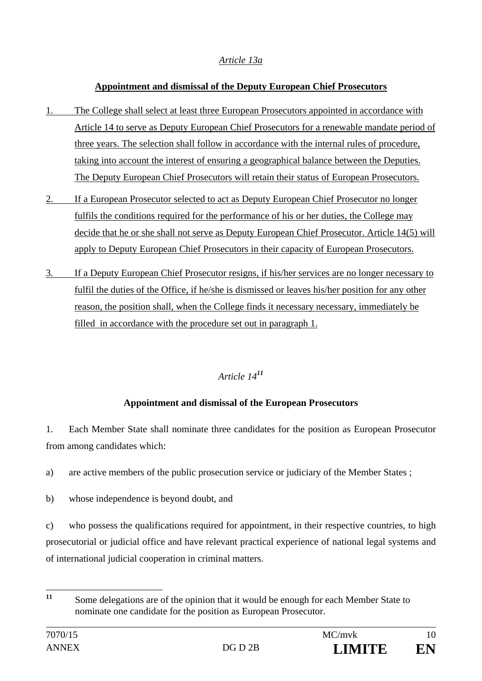# *Article 13a*

## **Appointment and dismissal of the Deputy European Chief Prosecutors**

- 1. The College shall select at least three European Prosecutors appointed in accordance with Article 14 to serve as Deputy European Chief Prosecutors for a renewable mandate period of three years. The selection shall follow in accordance with the internal rules of procedure, taking into account the interest of ensuring a geographical balance between the Deputies. The Deputy European Chief Prosecutors will retain their status of European Prosecutors.
- 2. If a European Prosecutor selected to act as Deputy European Chief Prosecutor no longer fulfils the conditions required for the performance of his or her duties, the College may decide that he or she shall not serve as Deputy European Chief Prosecutor. Article 14(5) will apply to Deputy European Chief Prosecutors in their capacity of European Prosecutors.
- 3. If a Deputy European Chief Prosecutor resigns, if his/her services are no longer necessary to fulfil the duties of the Office, if he/she is dismissed or leaves his/her position for any other reason, the position shall, when the College finds it necessary necessary, immediately be filled in accordance with the procedure set out in paragraph 1.

# *Article 14<sup>11</sup>*

# **Appointment and dismissal of the European Prosecutors**

1. Each Member State shall nominate three candidates for the position as European Prosecutor from among candidates which:

- a) are active members of the public prosecution service or judiciary of the Member States ;
- b) whose independence is beyond doubt, and

c) who possess the qualifications required for appointment, in their respective countries, to high prosecutorial or judicial office and have relevant practical experience of national legal systems and of international judicial cooperation in criminal matters.

 $11$ Some delegations are of the opinion that it would be enough for each Member State to nominate one candidate for the position as European Prosecutor.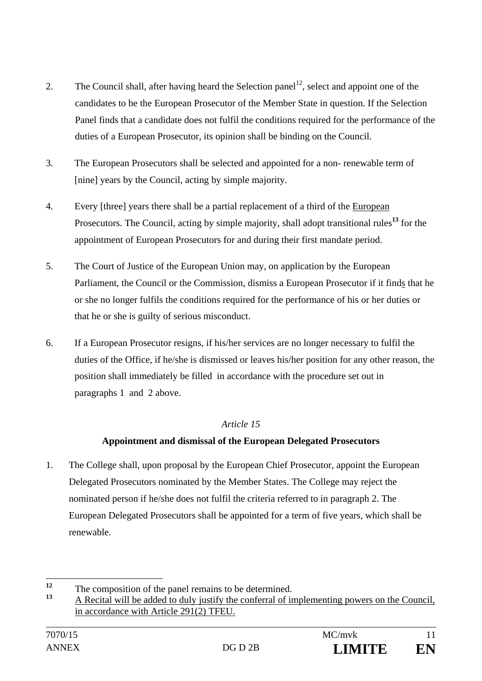- 2. The Council shall, after having heard the Selection panel<sup>12</sup>, select and appoint one of the candidates to be the European Prosecutor of the Member State in question. If the Selection Panel finds that a candidate does not fulfil the conditions required for the performance of the duties of a European Prosecutor, its opinion shall be binding on the Council.
- 3. The European Prosecutors shall be selected and appointed for a non- renewable term of [nine] years by the Council, acting by simple majority.
- 4. Every [three] years there shall be a partial replacement of a third of the European Prosecutors. The Council, acting by simple majority, shall adopt transitional rules**<sup>13</sup>** for the appointment of European Prosecutors for and during their first mandate period.
- 5. The Court of Justice of the European Union may, on application by the European Parliament, the Council or the Commission, dismiss a European Prosecutor if it finds that he or she no longer fulfils the conditions required for the performance of his or her duties or that he or she is guilty of serious misconduct.
- 6. If a European Prosecutor resigns, if his/her services are no longer necessary to fulfil the duties of the Office, if he/she is dismissed or leaves his/her position for any other reason, the position shall immediately be filled in accordance with the procedure set out in paragraphs 1 and 2 above.

# **Appointment and dismissal of the European Delegated Prosecutors**

1. The College shall, upon proposal by the European Chief Prosecutor, appoint the European Delegated Prosecutors nominated by the Member States. The College may reject the nominated person if he/she does not fulfil the criteria referred to in paragraph 2. The European Delegated Prosecutors shall be appointed for a term of five years, which shall be renewable.

 $12$ <sup>12</sup> The composition of the panel remains to be determined.

**<sup>13</sup>** A Recital will be added to duly justify the conferral of implementing powers on the Council, in accordance with Article 291(2) TFEU.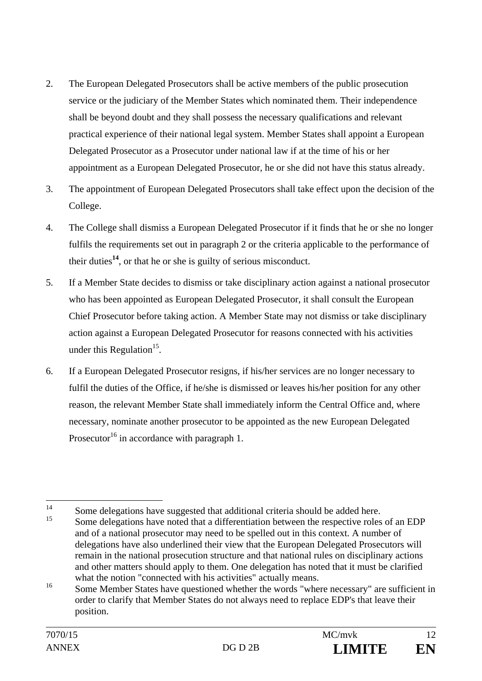- 2. The European Delegated Prosecutors shall be active members of the public prosecution service or the judiciary of the Member States which nominated them. Their independence shall be beyond doubt and they shall possess the necessary qualifications and relevant practical experience of their national legal system. Member States shall appoint a European Delegated Prosecutor as a Prosecutor under national law if at the time of his or her appointment as a European Delegated Prosecutor, he or she did not have this status already.
- 3. The appointment of European Delegated Prosecutors shall take effect upon the decision of the College.
- 4. The College shall dismiss a European Delegated Prosecutor if it finds that he or she no longer fulfils the requirements set out in paragraph 2 or the criteria applicable to the performance of their duties**<sup>14</sup>**, or that he or she is guilty of serious misconduct.
- 5. If a Member State decides to dismiss or take disciplinary action against a national prosecutor who has been appointed as European Delegated Prosecutor, it shall consult the European Chief Prosecutor before taking action. A Member State may not dismiss or take disciplinary action against a European Delegated Prosecutor for reasons connected with his activities under this Regulation<sup>15</sup>.
- 6. If a European Delegated Prosecutor resigns, if his/her services are no longer necessary to fulfil the duties of the Office, if he/she is dismissed or leaves his/her position for any other reason, the relevant Member State shall immediately inform the Central Office and, where necessary, nominate another prosecutor to be appointed as the new European Delegated Prosecutor<sup>16</sup> in accordance with paragraph 1.

 $14$  $14$  Some delegations have suggested that additional criteria should be added here.

Some delegations have noted that a differentiation between the respective roles of an EDP and of a national prosecutor may need to be spelled out in this context. A number of delegations have also underlined their view that the European Delegated Prosecutors will remain in the national prosecution structure and that national rules on disciplinary actions and other matters should apply to them. One delegation has noted that it must be clarified what the notion "connected with his activities" actually means.

<sup>&</sup>lt;sup>16</sup> Some Member States have questioned whether the words "where necessary" are sufficient in order to clarify that Member States do not always need to replace EDP's that leave their position.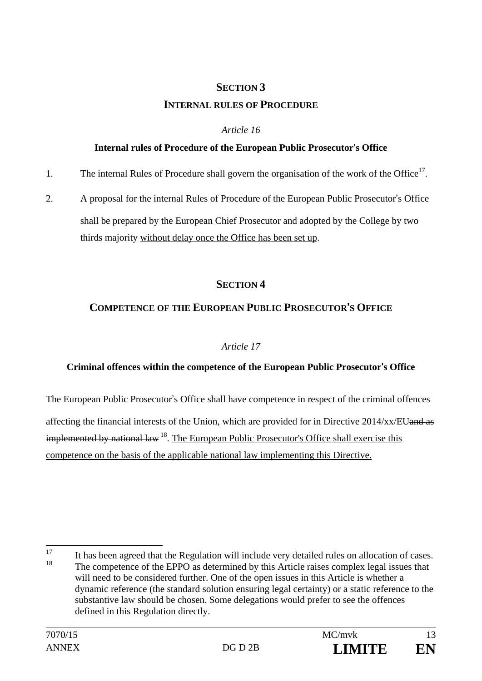# **SECTION 3 INTERNAL RULES OF PROCEDURE**

## *Article 16*

#### **Internal rules of Procedure of the European Public Prosecutor**'**s Office**

- 1. The internal Rules of Procedure shall govern the organisation of the work of the Office<sup>17</sup>.
- 2. A proposal for the internal Rules of Procedure of the European Public Prosecutor's Office shall be prepared by the European Chief Prosecutor and adopted by the College by two thirds majority without delay once the Office has been set up.

# **SECTION 4**

# **COMPETENCE OF THE EUROPEAN PUBLIC PROSECUTOR**'**S OFFICE**

## *Article 17*

## **Criminal offences within the competence of the European Public Prosecutor**'**s Office**

The European Public Prosecutor's Office shall have competence in respect of the criminal offences

affecting the financial interests of the Union, which are provided for in Directive 2014/xx/EUand as  $implemented$  by national law  $^{18}$ . The European Public Prosecutor's Office shall exercise this competence on the basis of the applicable national law implementing this Directive.

<sup>17</sup>  $\frac{17}{18}$  It has been agreed that the Regulation will include very detailed rules on allocation of cases. The competence of the EPPO as determined by this Article raises complex legal issues that will need to be considered further. One of the open issues in this Article is whether a dynamic reference (the standard solution ensuring legal certainty) or a static reference to the substantive law should be chosen. Some delegations would prefer to see the offences defined in this Regulation directly.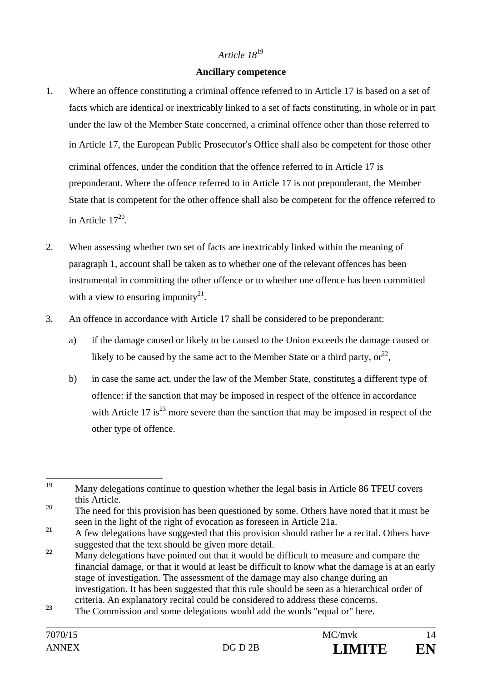#### **Ancillary competence**

- 1. Where an offence constituting a criminal offence referred to in Article 17 is based on a set of facts which are identical or inextricably linked to a set of facts constituting, in whole or in part under the law of the Member State concerned, a criminal offence other than those referred to in Article 17, the European Public Prosecutor's Office shall also be competent for those other criminal offences, under the condition that the offence referred to in Article 17 is preponderant. Where the offence referred to in Article 17 is not preponderant, the Member State that is competent for the other offence shall also be competent for the offence referred to in Article  $17^{20}$ .
- 2. When assessing whether two set of facts are inextricably linked within the meaning of paragraph 1, account shall be taken as to whether one of the relevant offences has been instrumental in committing the other offence or to whether one offence has been committed with a view to ensuring impunity<sup>21</sup>.
- 3. An offence in accordance with Article 17 shall be considered to be preponderant:
	- a) if the damage caused or likely to be caused to the Union exceeds the damage caused or likely to be caused by the same act to the Member State or a third party,  $or^{22}$ ,
	- b) in case the same act, under the law of the Member State, constitutes a different type of offence: if the sanction that may be imposed in respect of the offence in accordance with Article 17 is<sup>23</sup> more severe than the sanction that may be imposed in respect of the other type of offence.

<sup>19</sup> Many delegations continue to question whether the legal basis in Article 86 TFEU covers this Article.

<sup>&</sup>lt;sup>20</sup> The need for this provision has been questioned by some. Others have noted that it must be seen in the light of the right of evocation as foreseen in Article 21a.

<sup>&</sup>lt;sup>21</sup> A few delegations have suggested that this provision should rather be a recital. Others have suggested that the text should be given more detail.

<sup>&</sup>lt;sup>22</sup> Many delegations have pointed out that it would be difficult to measure and compare the financial damage, or that it would at least be difficult to know what the damage is at an early stage of investigation. The assessment of the damage may also change during an investigation. It has been suggested that this rule should be seen as a hierarchical order of criteria. An explanatory recital could be considered to address these concerns.

**<sup>23</sup>** The Commission and some delegations would add the words "equal or" here.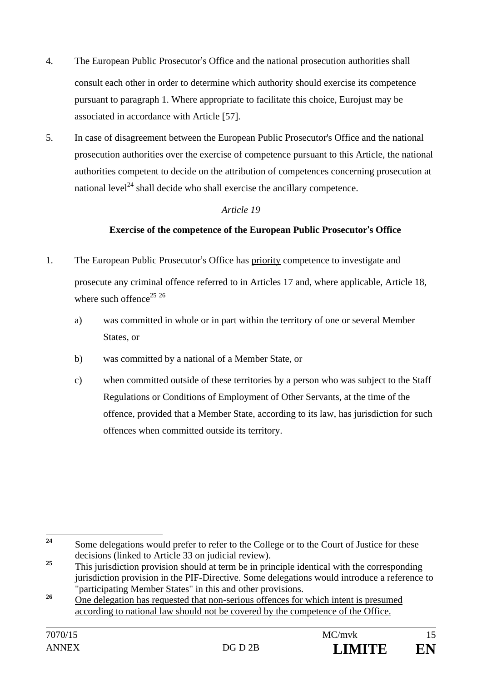- 4. The European Public Prosecutor's Office and the national prosecution authorities shall consult each other in order to determine which authority should exercise its competence pursuant to paragraph 1. Where appropriate to facilitate this choice, Eurojust may be associated in accordance with Article [57].
- 5. In case of disagreement between the European Public Prosecutor's Office and the national prosecution authorities over the exercise of competence pursuant to this Article, the national authorities competent to decide on the attribution of competences concerning prosecution at national level<sup> $24$ </sup> shall decide who shall exercise the ancillary competence.

## **Exercise of the competence of the European Public Prosecutor**'**s Office**

- 1. The European Public Prosecutor's Office has priority competence to investigate and prosecute any criminal offence referred to in Articles 17 and, where applicable, Article 18, where such offence<sup>25 26</sup>
	- a) was committed in whole or in part within the territory of one or several Member States, or
	- b) was committed by a national of a Member State, or
	- c) when committed outside of these territories by a person who was subject to the Staff Regulations or Conditions of Employment of Other Servants, at the time of the offence, provided that a Member State, according to its law, has jurisdiction for such offences when committed outside its territory.



<sup>24</sup> **<sup>24</sup>** Some delegations would prefer to refer to the College or to the Court of Justice for these decisions (linked to Article 33 on judicial review).

<sup>&</sup>lt;sup>25</sup> This jurisdiction provision should at term be in principle identical with the corresponding jurisdiction provision in the PIF-Directive. Some delegations would introduce a reference to "participating Member States" in this and other provisions.

<sup>&</sup>lt;sup>26</sup> One delegation has requested that non-serious offences for which intent is presumed according to national law should not be covered by the competence of the Office.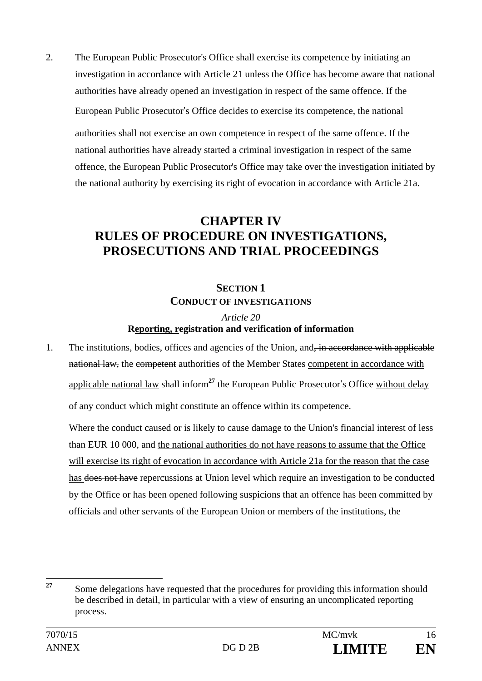2. The European Public Prosecutor's Office shall exercise its competence by initiating an investigation in accordance with Article 21 unless the Office has become aware that national authorities have already opened an investigation in respect of the same offence. If the European Public Prosecutor's Office decides to exercise its competence, the national authorities shall not exercise an own competence in respect of the same offence. If the national authorities have already started a criminal investigation in respect of the same offence, the European Public Prosecutor's Office may take over the investigation initiated by the national authority by exercising its right of evocation in accordance with Article 21a.

# **CHAPTER IV RULES OF PROCEDURE ON INVESTIGATIONS, PROSECUTIONS AND TRIAL PROCEEDINGS**

# **SECTION 1 CONDUCT OF INVESTIGATIONS**

## *Article 20*  **Reporting, registration and verification of information**

1. The institutions, bodies, offices and agencies of the Union, and, in accordance with applicable national law, the competent authorities of the Member States competent in accordance with applicable national law shall inform**<sup>27</sup>** the European Public Prosecutor's Office without delay of any conduct which might constitute an offence within its competence.

Where the conduct caused or is likely to cause damage to the Union's financial interest of less than EUR 10 000, and the national authorities do not have reasons to assume that the Office will exercise its right of evocation in accordance with Article 21a for the reason that the case has does not have repercussions at Union level which require an investigation to be conducted by the Office or has been opened following suspicions that an offence has been committed by officials and other servants of the European Union or members of the institutions, the

 $27$ **<sup>27</sup>** Some delegations have requested that the procedures for providing this information should be described in detail, in particular with a view of ensuring an uncomplicated reporting process.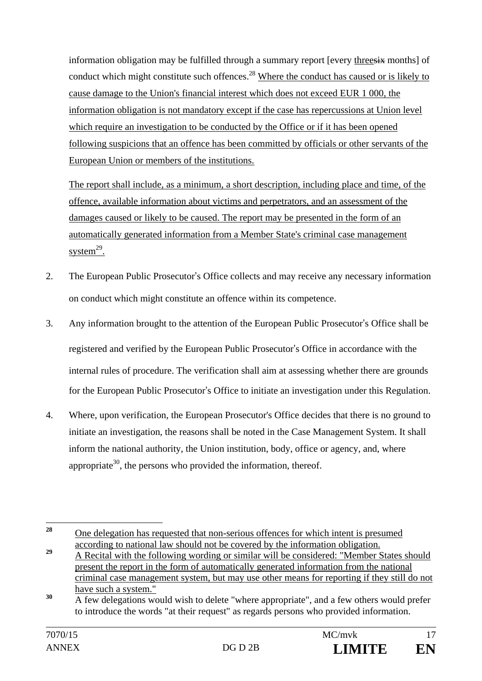information obligation may be fulfilled through a summary report [every threesix months] of conduct which might constitute such offences.<sup>28</sup> Where the conduct has caused or is likely to cause damage to the Union's financial interest which does not exceed EUR 1 000, the information obligation is not mandatory except if the case has repercussions at Union level which require an investigation to be conducted by the Office or if it has been opened following suspicions that an offence has been committed by officials or other servants of the European Union or members of the institutions.

The report shall include, as a minimum, a short description, including place and time, of the offence, available information about victims and perpetrators, and an assessment of the damages caused or likely to be caused. The report may be presented in the form of an automatically generated information from a Member State's criminal case management system $^{29}$ .

- 2. The European Public Prosecutor's Office collects and may receive any necessary information on conduct which might constitute an offence within its competence.
- 3. Any information brought to the attention of the European Public Prosecutor's Office shall be registered and verified by the European Public Prosecutor's Office in accordance with the internal rules of procedure. The verification shall aim at assessing whether there are grounds for the European Public Prosecutor's Office to initiate an investigation under this Regulation.
- 4. Where, upon verification, the European Prosecutor's Office decides that there is no ground to initiate an investigation, the reasons shall be noted in the Case Management System. It shall inform the national authority, the Union institution, body, office or agency, and, where appropriate<sup>30</sup>, the persons who provided the information, thereof.

 $28$ **<sup>28</sup>** One delegation has requested that non-serious offences for which intent is presumed according to national law should not be covered by the information obligation.

<sup>&</sup>lt;sup>29</sup> A Recital with the following wording or similar will be considered: "Member States should present the report in the form of automatically generated information from the national criminal case management system, but may use other means for reporting if they still do not have such a system."

<sup>&</sup>lt;sup>30</sup> A few delegations would wish to delete "where appropriate", and a few others would prefer to introduce the words "at their request" as regards persons who provided information.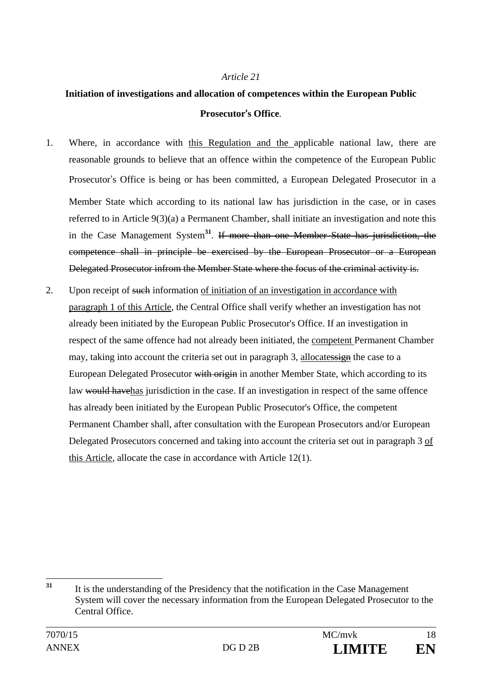# **Initiation of investigations and allocation of competences within the European Public Prosecutor**'**s Office***.*

- 1. Where, in accordance with this Regulation and the applicable national law, there are reasonable grounds to believe that an offence within the competence of the European Public Prosecutor's Office is being or has been committed, a European Delegated Prosecutor in a Member State which according to its national law has jurisdiction in the case, or in cases referred to in Article 9(3)(a) a Permanent Chamber, shall initiate an investigation and note this in the Case Management System**<sup>31</sup>**. If more than one Member State has jurisdiction, the competence shall in principle be exercised by the European Prosecutor or a European Delegated Prosecutor infrom the Member State where the focus of the criminal activity is.
- 2. Upon receipt of such information of initiation of an investigation in accordance with paragraph 1 of this Article, the Central Office shall verify whether an investigation has not already been initiated by the European Public Prosecutor's Office. If an investigation in respect of the same offence had not already been initiated, the competent Permanent Chamber may, taking into account the criteria set out in paragraph 3, allocatessign the case to a European Delegated Prosecutor with origin in another Member State, which according to its law would have has jurisdiction in the case. If an investigation in respect of the same offence has already been initiated by the European Public Prosecutor's Office, the competent Permanent Chamber shall, after consultation with the European Prosecutors and/or European Delegated Prosecutors concerned and taking into account the criteria set out in paragraph 3 of this Article, allocate the case in accordance with Article 12(1).

 $31$ **<sup>31</sup>** It is the understanding of the Presidency that the notification in the Case Management System will cover the necessary information from the European Delegated Prosecutor to the Central Office.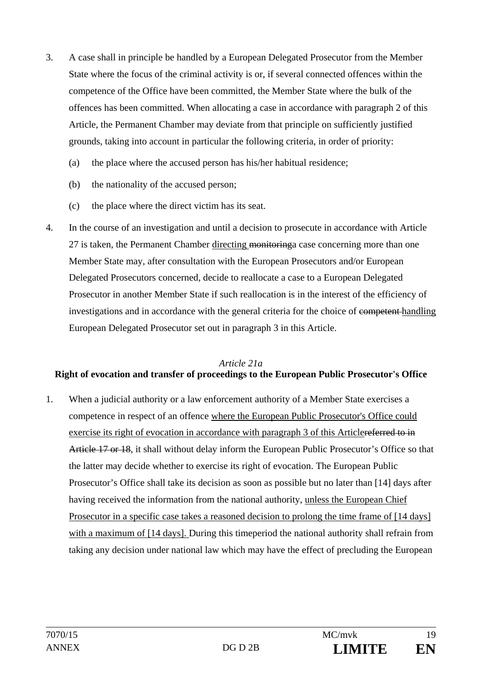- 3. A case shall in principle be handled by a European Delegated Prosecutor from the Member State where the focus of the criminal activity is or, if several connected offences within the competence of the Office have been committed, the Member State where the bulk of the offences has been committed. When allocating a case in accordance with paragraph 2 of this Article, the Permanent Chamber may deviate from that principle on sufficiently justified grounds, taking into account in particular the following criteria, in order of priority:
	- (a) the place where the accused person has his/her habitual residence;
	- (b) the nationality of the accused person;
	- (c) the place where the direct victim has its seat.
- 4. In the course of an investigation and until a decision to prosecute in accordance with Article 27 is taken, the Permanent Chamber directing monitoring case concerning more than one Member State may, after consultation with the European Prosecutors and/or European Delegated Prosecutors concerned, decide to reallocate a case to a European Delegated Prosecutor in another Member State if such reallocation is in the interest of the efficiency of investigations and in accordance with the general criteria for the choice of competent handling European Delegated Prosecutor set out in paragraph 3 in this Article.

#### *Article 21a*

## **Right of evocation and transfer of proceedings to the European Public Prosecutor's Office**

1. When a judicial authority or a law enforcement authority of a Member State exercises a competence in respect of an offence where the European Public Prosecutor's Office could exercise its right of evocation in accordance with paragraph 3 of this Articlereferred to in Article 17 or 18, it shall without delay inform the European Public Prosecutor's Office so that the latter may decide whether to exercise its right of evocation. The European Public Prosecutor's Office shall take its decision as soon as possible but no later than [14] days after having received the information from the national authority, unless the European Chief Prosecutor in a specific case takes a reasoned decision to prolong the time frame of [14 days] with a maximum of [14 days]. During this timeperiod the national authority shall refrain from taking any decision under national law which may have the effect of precluding the European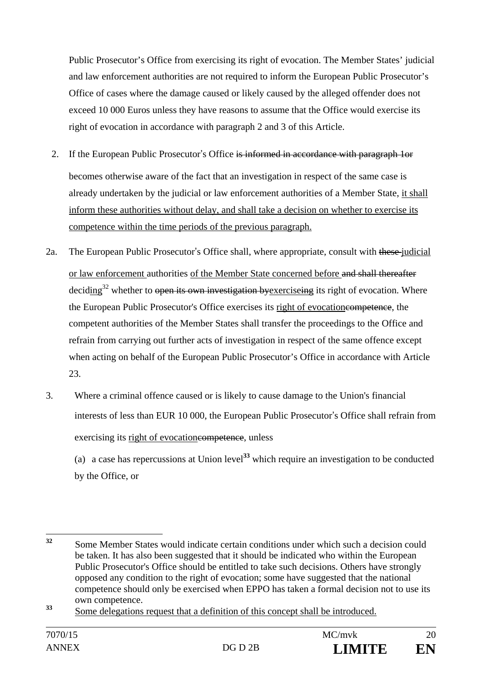Public Prosecutor's Office from exercising its right of evocation. The Member States' judicial and law enforcement authorities are not required to inform the European Public Prosecutor's Office of cases where the damage caused or likely caused by the alleged offender does not exceed 10 000 Euros unless they have reasons to assume that the Office would exercise its right of evocation in accordance with paragraph 2 and 3 of this Article.

- 2. If the European Public Prosecutor's Office is informed in accordance with paragraph 1or becomes otherwise aware of the fact that an investigation in respect of the same case is already undertaken by the judicial or law enforcement authorities of a Member State, it shall inform these authorities without delay, and shall take a decision on whether to exercise its competence within the time periods of the previous paragraph.
- 2a. The European Public Prosecutor's Office shall, where appropriate, consult with these judicial or law enforcement authorities of the Member State concerned before and shall thereafter deciding<sup>32</sup> whether to open its own investigation by exerciseing its right of evocation. Where the European Public Prosecutor's Office exercises its right of evocationeompetence, the competent authorities of the Member States shall transfer the proceedings to the Office and refrain from carrying out further acts of investigation in respect of the same offence except when acting on behalf of the European Public Prosecutor's Office in accordance with Article 23.
- 3. Where a criminal offence caused or is likely to cause damage to the Union's financial interests of less than EUR 10 000, the European Public Prosecutor's Office shall refrain from exercising its right of evocationes ompetence, unless

 (a) a case has repercussions at Union level**<sup>33</sup>** which require an investigation to be conducted by the Office, or

<sup>32</sup> **<sup>32</sup>** Some Member States would indicate certain conditions under which such a decision could be taken. It has also been suggested that it should be indicated who within the European Public Prosecutor's Office should be entitled to take such decisions. Others have strongly opposed any condition to the right of evocation; some have suggested that the national competence should only be exercised when EPPO has taken a formal decision not to use its own competence.

<sup>&</sup>lt;sup>33</sup> Some delegations request that a definition of this concept shall be introduced.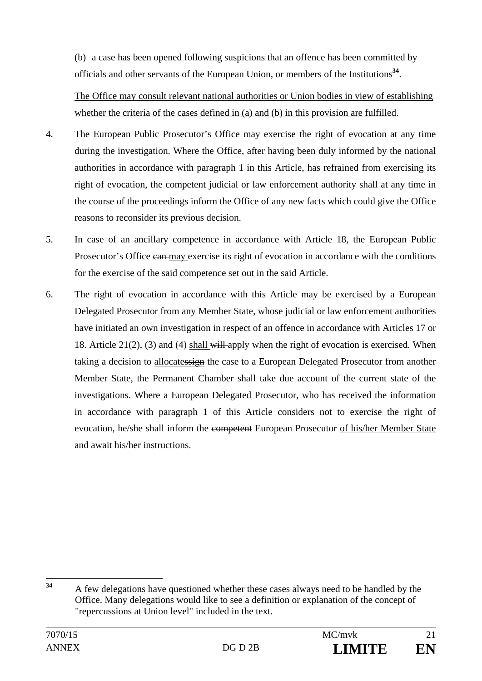(b) a case has been opened following suspicions that an offence has been committed by officials and other servants of the European Union, or members of the Institutions**<sup>34</sup>**.

 The Office may consult relevant national authorities or Union bodies in view of establishing whether the criteria of the cases defined in (a) and (b) in this provision are fulfilled.

- 4. The European Public Prosecutor's Office may exercise the right of evocation at any time during the investigation. Where the Office, after having been duly informed by the national authorities in accordance with paragraph 1 in this Article, has refrained from exercising its right of evocation, the competent judicial or law enforcement authority shall at any time in the course of the proceedings inform the Office of any new facts which could give the Office reasons to reconsider its previous decision.
- 5. In case of an ancillary competence in accordance with Article 18, the European Public Prosecutor's Office can may exercise its right of evocation in accordance with the conditions for the exercise of the said competence set out in the said Article.
- 6. The right of evocation in accordance with this Article may be exercised by a European Delegated Prosecutor from any Member State, whose judicial or law enforcement authorities have initiated an own investigation in respect of an offence in accordance with Articles 17 or 18. Article  $21(2)$ , (3) and (4) shall will apply when the right of evocation is exercised. When taking a decision to allocatessign the case to a European Delegated Prosecutor from another Member State, the Permanent Chamber shall take due account of the current state of the investigations. Where a European Delegated Prosecutor, who has received the information in accordance with paragraph 1 of this Article considers not to exercise the right of evocation, he/she shall inform the competent European Prosecutor of his/her Member State and await his/her instructions.

 $34$ **<sup>34</sup>** A few delegations have questioned whether these cases always need to be handled by the Office. Many delegations would like to see a definition or explanation of the concept of "repercussions at Union level" included in the text.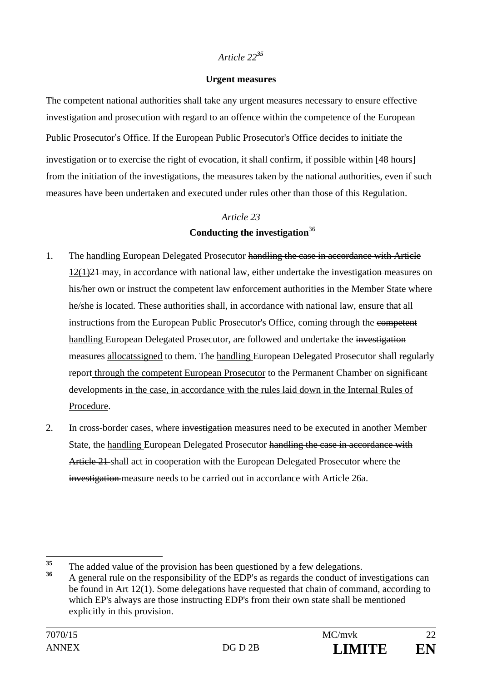#### **Urgent measures**

The competent national authorities shall take any urgent measures necessary to ensure effective investigation and prosecution with regard to an offence within the competence of the European Public Prosecutor's Office. If the European Public Prosecutor's Office decides to initiate the investigation or to exercise the right of evocation, it shall confirm, if possible within [48 hours] from the initiation of the investigations, the measures taken by the national authorities, even if such measures have been undertaken and executed under rules other than those of this Regulation.

# *Article 23*

## **Conducting the investigation**<sup>36</sup>

- 1. The handling European Delegated Prosecutor handling the case in accordance with Article 12(1)21 may, in accordance with national law, either undertake the investigation measures on his/her own or instruct the competent law enforcement authorities in the Member State where he/she is located. These authorities shall, in accordance with national law, ensure that all instructions from the European Public Prosecutor's Office, coming through the competent handling European Delegated Prosecutor, are followed and undertake the investigation measures allocats igned to them. The handling European Delegated Prosecutor shall regularly report through the competent European Prosecutor to the Permanent Chamber on significant developments in the case, in accordance with the rules laid down in the Internal Rules of Procedure.
- 2. In cross-border cases, where investigation measures need to be executed in another Member State, the handling European Delegated Prosecutor handling the case in accordance with Article 21 shall act in cooperation with the European Delegated Prosecutor where the investigation measure needs to be carried out in accordance with Article 26a.

 $35$ <sup>35</sup> The added value of the provision has been questioned by a few delegations.<br>36 A conceal with a magnetic little of the EDD's concealed by contrato fit

**<sup>36</sup>** A general rule on the responsibility of the EDP's as regards the conduct of investigations can be found in Art 12(1). Some delegations have requested that chain of command, according to which EP's always are those instructing EDP's from their own state shall be mentioned explicitly in this provision.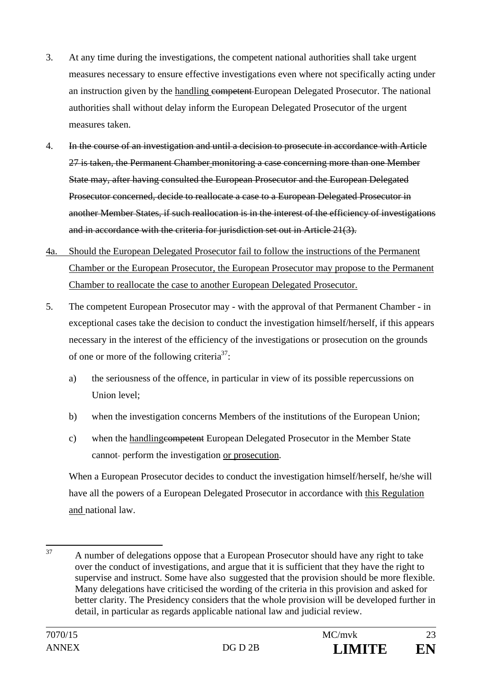- 3. At any time during the investigations, the competent national authorities shall take urgent measures necessary to ensure effective investigations even where not specifically acting under an instruction given by the handling competent-European Delegated Prosecutor. The national authorities shall without delay inform the European Delegated Prosecutor of the urgent measures taken.
- 4. In the course of an investigation and until a decision to prosecute in accordance with Article 27 is taken, the Permanent Chamber monitoring a case concerning more than one Member State may, after having consulted the European Prosecutor and the European Delegated Prosecutor concerned, decide to reallocate a case to a European Delegated Prosecutor in another Member States, if such reallocation is in the interest of the efficiency of investigations and in accordance with the criteria for jurisdiction set out in Article 21(3).
- 4a. Should the European Delegated Prosecutor fail to follow the instructions of the Permanent Chamber or the European Prosecutor, the European Prosecutor may propose to the Permanent Chamber to reallocate the case to another European Delegated Prosecutor.
- 5. The competent European Prosecutor may with the approval of that Permanent Chamber in exceptional cases take the decision to conduct the investigation himself/herself, if this appears necessary in the interest of the efficiency of the investigations or prosecution on the grounds of one or more of the following criteria<sup>37</sup>:
	- a) the seriousness of the offence, in particular in view of its possible repercussions on Union level;
	- b) when the investigation concerns Members of the institutions of the European Union;
	- c) when the handlingcompetent European Delegated Prosecutor in the Member State cannot- perform the investigation or prosecution.

When a European Prosecutor decides to conduct the investigation himself/herself, he/she will have all the powers of a European Delegated Prosecutor in accordance with this Regulation and national law.

<sup>37</sup> 37 A number of delegations oppose that a European Prosecutor should have any right to take over the conduct of investigations, and argue that it is sufficient that they have the right to supervise and instruct. Some have also suggested that the provision should be more flexible. Many delegations have criticised the wording of the criteria in this provision and asked for better clarity. The Presidency considers that the whole provision will be developed further in detail, in particular as regards applicable national law and judicial review.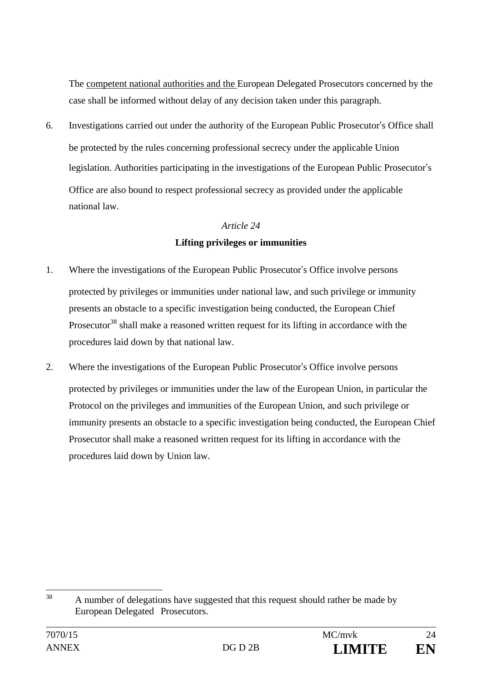The competent national authorities and the European Delegated Prosecutors concerned by the case shall be informed without delay of any decision taken under this paragraph.

6. Investigations carried out under the authority of the European Public Prosecutor's Office shall be protected by the rules concerning professional secrecy under the applicable Union legislation. Authorities participating in the investigations of the European Public Prosecutor's Office are also bound to respect professional secrecy as provided under the applicable national law.

## *Article 24*

# **Lifting privileges or immunities**

- 1. Where the investigations of the European Public Prosecutor's Office involve persons protected by privileges or immunities under national law, and such privilege or immunity presents an obstacle to a specific investigation being conducted, the European Chief Prosecutor<sup>38</sup> shall make a reasoned written request for its lifting in accordance with the procedures laid down by that national law.
- 2. Where the investigations of the European Public Prosecutor's Office involve persons protected by privileges or immunities under the law of the European Union, in particular the Protocol on the privileges and immunities of the European Union, and such privilege or immunity presents an obstacle to a specific investigation being conducted, the European Chief Prosecutor shall make a reasoned written request for its lifting in accordance with the procedures laid down by Union law.

<sup>38</sup> A number of delegations have suggested that this request should rather be made by European Delegated Prosecutors.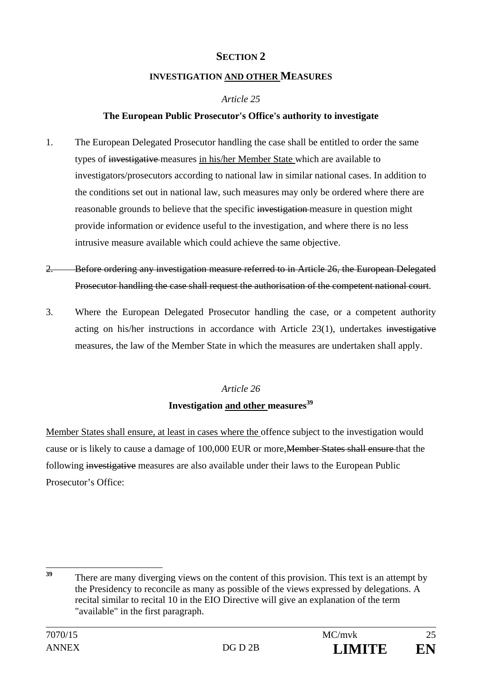# **SECTION 2**

## **INVESTIGATION AND OTHER MEASURES**

# *Article 25*

# **The European Public Prosecutor's Office's authority to investigate**

- 1. The European Delegated Prosecutor handling the case shall be entitled to order the same types of investigative measures in his/her Member State which are available to investigators/prosecutors according to national law in similar national cases. In addition to the conditions set out in national law, such measures may only be ordered where there are reasonable grounds to believe that the specific investigation measure in question might provide information or evidence useful to the investigation, and where there is no less intrusive measure available which could achieve the same objective.
- 2. Before ordering any investigation measure referred to in Article 26, the European Delegated Prosecutor handling the case shall request the authorisation of the competent national court.
- 3. Where the European Delegated Prosecutor handling the case, or a competent authority acting on his/her instructions in accordance with Article 23(1), undertakes investigative measures, the law of the Member State in which the measures are undertaken shall apply.

# *Article 26*  **Investigation and other measures**<sup>39</sup>

Member States shall ensure, at least in cases where the offence subject to the investigation would cause or is likely to cause a damage of 100,000 EUR or more,Member States shall ensure that the following investigative measures are also available under their laws to the European Public Prosecutor's Office:

<sup>39</sup> There are many diverging views on the content of this provision. This text is an attempt by the Presidency to reconcile as many as possible of the views expressed by delegations. A recital similar to recital 10 in the EIO Directive will give an explanation of the term "available" in the first paragraph.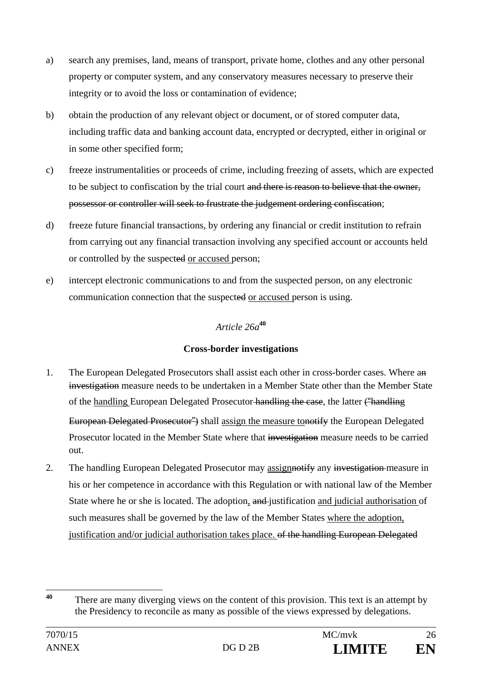- a) search any premises, land, means of transport, private home, clothes and any other personal property or computer system, and any conservatory measures necessary to preserve their integrity or to avoid the loss or contamination of evidence;
- b) obtain the production of any relevant object or document, or of stored computer data, including traffic data and banking account data, encrypted or decrypted, either in original or in some other specified form;
- c) freeze instrumentalities or proceeds of crime, including freezing of assets, which are expected to be subject to confiscation by the trial court and there is reason to believe that the owner, possessor or controller will seek to frustrate the judgement ordering confiscation;
- d) freeze future financial transactions, by ordering any financial or credit institution to refrain from carrying out any financial transaction involving any specified account or accounts held or controlled by the suspected or accused person;
- e) intercept electronic communications to and from the suspected person, on any electronic communication connection that the suspected or accused person is using.

# *Article 26a***<sup>40</sup>**

# **Cross-border investigations**

1. The European Delegated Prosecutors shall assist each other in cross-border cases. Where an investigation measure needs to be undertaken in a Member State other than the Member State of the handling European Delegated Prosecutor handling the case, the latter ("handling

European Delegated Prosecutor<sup>2</sup>) shall assign the measure tonotify the European Delegated Prosecutor located in the Member State where that investigation measure needs to be carried out.

2. The handling European Delegated Prosecutor may assign<del>ify</del> any investigation-measure in his or her competence in accordance with this Regulation or with national law of the Member State where he or she is located. The adoption, and justification and judicial authorisation of such measures shall be governed by the law of the Member States where the adoption, justification and/or judicial authorisation takes place. of the handling European Delegated

 $\overline{40}$ There are many diverging views on the content of this provision. This text is an attempt by the Presidency to reconcile as many as possible of the views expressed by delegations.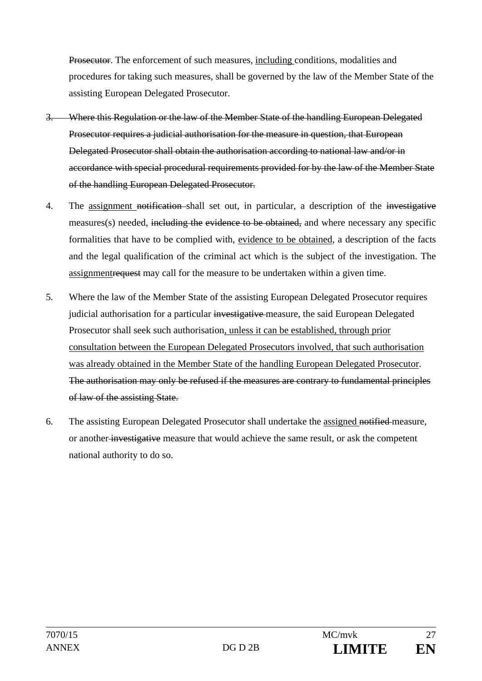Prosecutor. The enforcement of such measures, including conditions, modalities and procedures for taking such measures, shall be governed by the law of the Member State of the assisting European Delegated Prosecutor.

- Where this Regulation or the law of the Member State of the handling European Delegated Prosecutor requires a judicial authorisation for the measure in question, that European Delegated Prosecutor shall obtain the authorisation according to national law and/or in accordance with special procedural requirements provided for by the law of the Member State of the handling European Delegated Prosecutor.
- 4. The assignment notification shall set out, in particular, a description of the investigative measures(s) needed, including the evidence to be obtained, and where necessary any specific formalities that have to be complied with, evidence to be obtained, a description of the facts and the legal qualification of the criminal act which is the subject of the investigation. The assignmentrequest may call for the measure to be undertaken within a given time.
- 5. Where the law of the Member State of the assisting European Delegated Prosecutor requires judicial authorisation for a particular investigative measure, the said European Delegated Prosecutor shall seek such authorisation, unless it can be established, through prior consultation between the European Delegated Prosecutors involved, that such authorisation was already obtained in the Member State of the handling European Delegated Prosecutor. The authorisation may only be refused if the measures are contrary to fundamental principles of law of the assisting State.
- 6. The assisting European Delegated Prosecutor shall undertake the assigned notified measure, or another investigative measure that would achieve the same result, or ask the competent national authority to do so.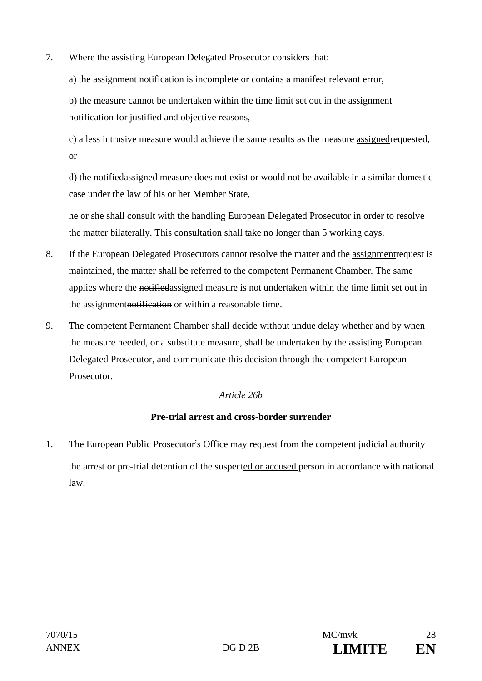- 7. Where the assisting European Delegated Prosecutor considers that:
	- a) the assignment notification is incomplete or contains a manifest relevant error,

b) the measure cannot be undertaken within the time limit set out in the assignment notification for justified and objective reasons,

c) a less intrusive measure would achieve the same results as the measure assignedrequested, or

d) the notifiedassigned measure does not exist or would not be available in a similar domestic case under the law of his or her Member State,

he or she shall consult with the handling European Delegated Prosecutor in order to resolve the matter bilaterally. This consultation shall take no longer than 5 working days.

- 8. If the European Delegated Prosecutors cannot resolve the matter and the assignmentrequest is maintained, the matter shall be referred to the competent Permanent Chamber. The same applies where the notifiedassigned measure is not undertaken within the time limit set out in the assignmentnotification or within a reasonable time.
- 9. The competent Permanent Chamber shall decide without undue delay whether and by when the measure needed, or a substitute measure, shall be undertaken by the assisting European Delegated Prosecutor, and communicate this decision through the competent European Prosecutor.

## *Article 26b*

## **Pre-trial arrest and cross-border surrender**

1. The European Public Prosecutor's Office may request from the competent judicial authority the arrest or pre-trial detention of the suspected or accused person in accordance with national law.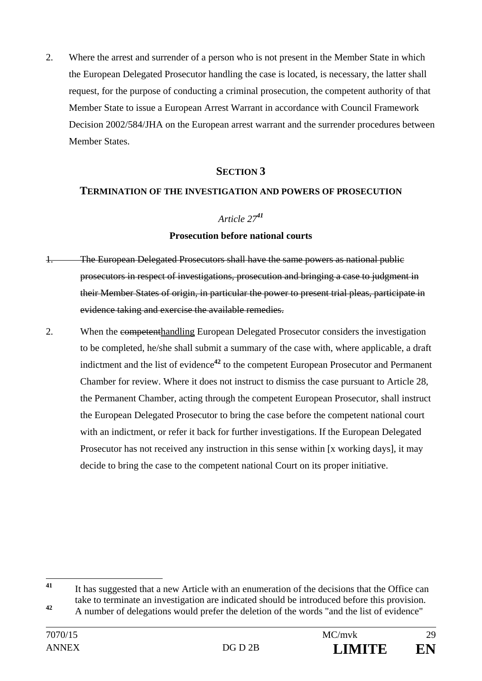2. Where the arrest and surrender of a person who is not present in the Member State in which the European Delegated Prosecutor handling the case is located, is necessary, the latter shall request, for the purpose of conducting a criminal prosecution, the competent authority of that Member State to issue a European Arrest Warrant in accordance with Council Framework Decision 2002/584/JHA on the European arrest warrant and the surrender procedures between Member States.

## **SECTION 3**

#### **TERMINATION OF THE INVESTIGATION AND POWERS OF PROSECUTION**

#### *Article 27<sup>41</sup>*

#### **Prosecution before national courts**

- 1. The European Delegated Prosecutors shall have the same powers as national public prosecutors in respect of investigations, prosecution and bringing a case to judgment in their Member States of origin, in particular the power to present trial pleas, participate in evidence taking and exercise the available remedies.
- 2. When the competenthandling European Delegated Prosecutor considers the investigation to be completed, he/she shall submit a summary of the case with, where applicable, a draft indictment and the list of evidence<sup>42</sup> to the competent European Prosecutor and Permanent Chamber for review. Where it does not instruct to dismiss the case pursuant to Article 28, the Permanent Chamber, acting through the competent European Prosecutor, shall instruct the European Delegated Prosecutor to bring the case before the competent national court with an indictment, or refer it back for further investigations. If the European Delegated Prosecutor has not received any instruction in this sense within [x working days], it may decide to bring the case to the competent national Court on its proper initiative.

 $41$ **<sup>41</sup>** It has suggested that a new Article with an enumeration of the decisions that the Office can take to terminate an investigation are indicated should be introduced before this provision.

**<sup>42</sup>** A number of delegations would prefer the deletion of the words "and the list of evidence"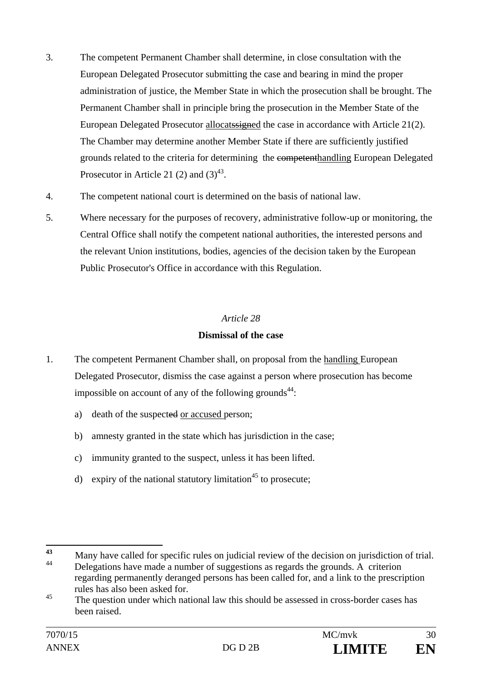- 3. The competent Permanent Chamber shall determine, in close consultation with the European Delegated Prosecutor submitting the case and bearing in mind the proper administration of justice, the Member State in which the prosecution shall be brought. The Permanent Chamber shall in principle bring the prosecution in the Member State of the European Delegated Prosecutor allocatssigned the case in accordance with Article 21(2). The Chamber may determine another Member State if there are sufficiently justified grounds related to the criteria for determining the competenthandling European Delegated Prosecutor in Article 21 (2) and  $(3)^{43}$ .
- 4. The competent national court is determined on the basis of national law.
- 5. Where necessary for the purposes of recovery, administrative follow-up or monitoring, the Central Office shall notify the competent national authorities, the interested persons and the relevant Union institutions, bodies, agencies of the decision taken by the European Public Prosecutor's Office in accordance with this Regulation.

# **Dismissal of the case**

- 1. The competent Permanent Chamber shall, on proposal from the handling European Delegated Prosecutor, dismiss the case against a person where prosecution has become impossible on account of any of the following grounds $44$ :
	- a) death of the suspected or accused person;
	- b) amnesty granted in the state which has jurisdiction in the case;
	- c) immunity granted to the suspect, unless it has been lifted.
	- d) expiry of the national statutory limitation<sup>45</sup> to prosecute;

 $43$ 43 Many have called for specific rules on judicial review of the decision on jurisdiction of trial. Delegations have made a number of suggestions as regards the grounds. A criterion regarding permanently deranged persons has been called for, and a link to the prescription rules has also been asked for.

<sup>&</sup>lt;sup>45</sup> The question under which national law this should be assessed in cross-border cases has been raised.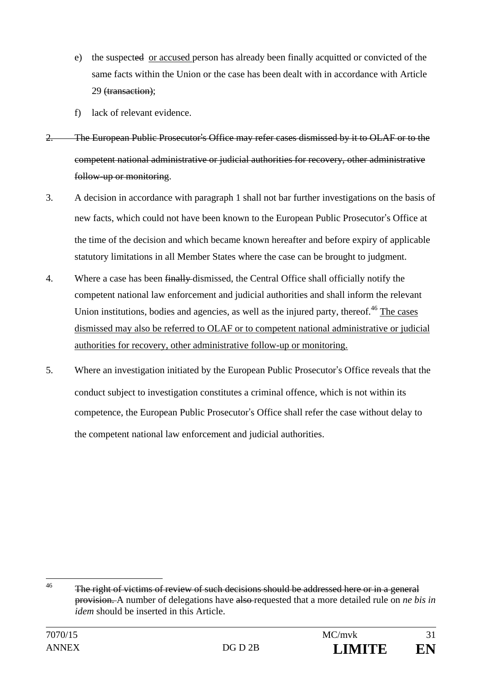- e) the suspected or accused person has already been finally acquitted or convicted of the same facts within the Union or the case has been dealt with in accordance with Article 29 (transaction);
- f) lack of relevant evidence.
- 2. The European Public Prosecutor's Office may refer cases dismissed by it to OLAF or to the competent national administrative or judicial authorities for recovery, other administrative follow-up or monitoring.
- 3. A decision in accordance with paragraph 1 shall not bar further investigations on the basis of new facts, which could not have been known to the European Public Prosecutor's Office at the time of the decision and which became known hereafter and before expiry of applicable statutory limitations in all Member States where the case can be brought to judgment.
- 4. Where a case has been finally dismissed, the Central Office shall officially notify the competent national law enforcement and judicial authorities and shall inform the relevant Union institutions, bodies and agencies, as well as the injured party, thereof.<sup>46</sup> The cases dismissed may also be referred to OLAF or to competent national administrative or judicial authorities for recovery, other administrative follow-up or monitoring.
- 5. Where an investigation initiated by the European Public Prosecutor's Office reveals that the conduct subject to investigation constitutes a criminal offence, which is not within its competence, the European Public Prosecutor's Office shall refer the case without delay to the competent national law enforcement and judicial authorities.

 $46$ The right of victims of review of such decisions should be addressed here or in a general provision. A number of delegations have also requested that a more detailed rule on *ne bis in idem* should be inserted in this Article.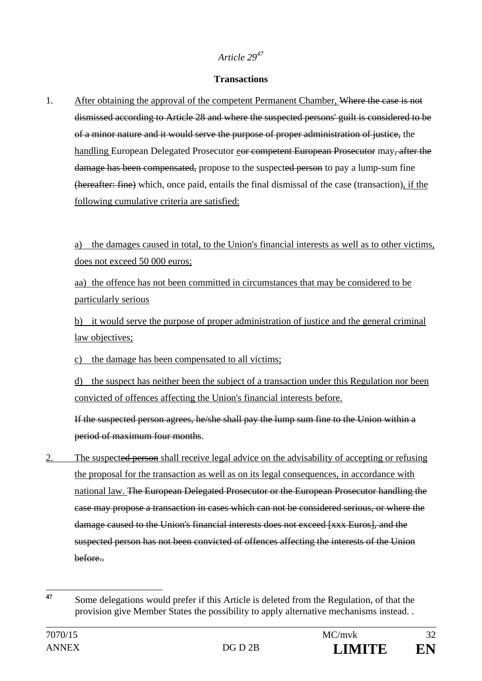#### **Transactions**

1. After obtaining the approval of the competent Permanent Chamber, Where the case is not dismissed according to Article 28 and where the suspected persons' guilt is considered to be of a minor nature and it would serve the purpose of proper administration of justice, the handling European Delegated Prosecutor eor competent European Prosecutor may, after the damage has been compensated, propose to the suspected person to pay a lump-sum fine (hereafter: fine) which, once paid, entails the final dismissal of the case (transaction), if the following cumulative criteria are satisfied:

a) the damages caused in total, to the Union's financial interests as well as to other victims, does not exceed 50 000 euros;

aa) the offence has not been committed in circumstances that may be considered to be particularly serious

b) it would serve the purpose of proper administration of justice and the general criminal law objectives;

c) the damage has been compensated to all victims;

d) the suspect has neither been the subject of a transaction under this Regulation nor been convicted of offences affecting the Union's financial interests before.

 If the suspected person agrees, he/she shall pay the lump sum fine to the Union within a period of maximum four months.

2. The suspected person shall receive legal advice on the advisability of accepting or refusing the proposal for the transaction as well as on its legal consequences, in accordance with national law. The European Delegated Prosecutor or the European Prosecutor handling the case may propose a transaction in cases which can not be considered serious, or where the damage caused to the Union's financial interests does not exceed [xxx Euros], and the suspected person has not been convicted of offences affecting the interests of the Union before..

 $47$ **<sup>47</sup>** Some delegations would prefer if this Article is deleted from the Regulation, of that the provision give Member States the possibility to apply alternative mechanisms instead. .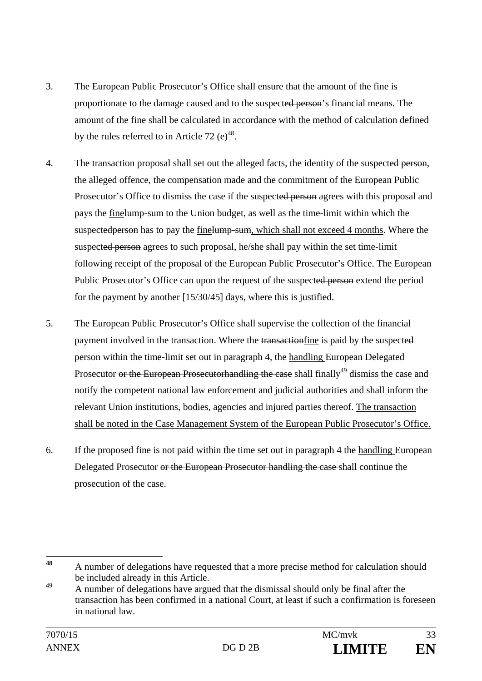- 3. The European Public Prosecutor's Office shall ensure that the amount of the fine is proportionate to the damage caused and to the suspected person's financial means. The amount of the fine shall be calculated in accordance with the method of calculation defined by the rules referred to in Article 72 (e)<sup>48</sup>.
- 4. The transaction proposal shall set out the alleged facts, the identity of the suspected person, the alleged offence, the compensation made and the commitment of the European Public Prosecutor's Office to dismiss the case if the suspected person agrees with this proposal and pays the finelump-sum to the Union budget, as well as the time-limit within which the suspected person has to pay the finelump-sum, which shall not exceed 4 months. Where the suspected person agrees to such proposal, he/she shall pay within the set time-limit following receipt of the proposal of the European Public Prosecutor's Office. The European Public Prosecutor's Office can upon the request of the suspected person extend the period for the payment by another [15/30/45] days, where this is justified.
- 5. The European Public Prosecutor's Office shall supervise the collection of the financial payment involved in the transaction. Where the transactionfine is paid by the suspected person within the time-limit set out in paragraph 4, the handling European Delegated Prosecutor or the European Prosecutorhandling the case shall finally<sup>49</sup> dismiss the case and notify the competent national law enforcement and judicial authorities and shall inform the relevant Union institutions, bodies, agencies and injured parties thereof. The transaction shall be noted in the Case Management System of the European Public Prosecutor's Office.
- 6. If the proposed fine is not paid within the time set out in paragraph 4 the handling European Delegated Prosecutor or the European Prosecutor handling the case shall continue the prosecution of the case.

<sup>48</sup> **<sup>48</sup>** A number of delegations have requested that a more precise method for calculation should be included already in this Article.

<sup>&</sup>lt;sup>49</sup> A number of delegations have argued that the dismissal should only be final after the transaction has been confirmed in a national Court, at least if such a confirmation is foreseen in national law.